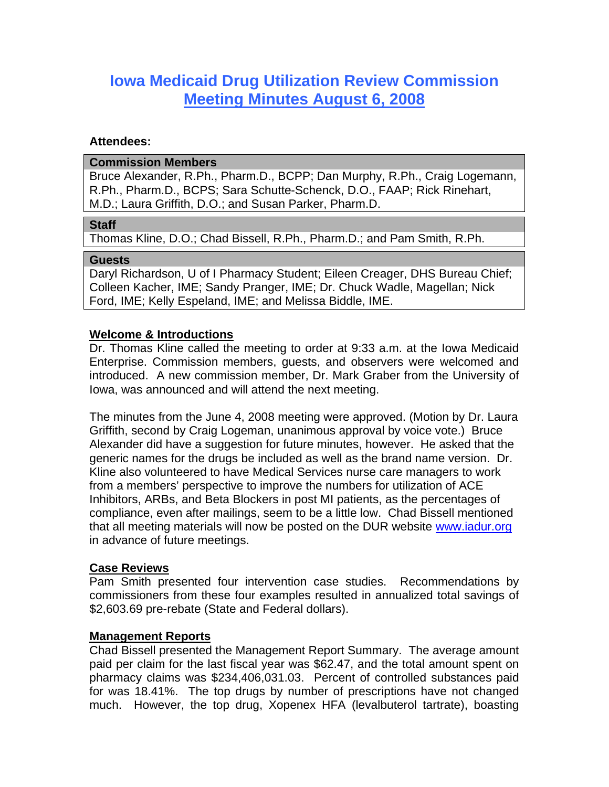# **Iowa Medicaid Drug Utilization Review Commission Meeting Minutes August 6, 2008**

## **Attendees:**

#### **Commission Members**

Bruce Alexander, R.Ph., Pharm.D., BCPP; Dan Murphy, R.Ph., Craig Logemann, R.Ph., Pharm.D., BCPS; Sara Schutte-Schenck, D.O., FAAP; Rick Rinehart, M.D.; Laura Griffith, D.O.; and Susan Parker, Pharm.D.

## **Staff**

Thomas Kline, D.O.; Chad Bissell, R.Ph., Pharm.D.; and Pam Smith, R.Ph.

## **Guests**

Daryl Richardson, U of I Pharmacy Student; Eileen Creager, DHS Bureau Chief; Colleen Kacher, IME; Sandy Pranger, IME; Dr. Chuck Wadle, Magellan; Nick Ford, IME; Kelly Espeland, IME; and Melissa Biddle, IME.

## **Welcome & Introductions**

Dr. Thomas Kline called the meeting to order at 9:33 a.m. at the Iowa Medicaid Enterprise. Commission members, guests, and observers were welcomed and introduced. A new commission member, Dr. Mark Graber from the University of Iowa, was announced and will attend the next meeting.

The minutes from the June 4, 2008 meeting were approved. (Motion by Dr. Laura Griffith, second by Craig Logeman, unanimous approval by voice vote.) Bruce Alexander did have a suggestion for future minutes, however. He asked that the generic names for the drugs be included as well as the brand name version. Dr. Kline also volunteered to have Medical Services nurse care managers to work from a members' perspective to improve the numbers for utilization of ACE Inhibitors, ARBs, and Beta Blockers in post MI patients, as the percentages of compliance, even after mailings, seem to be a little low. Chad Bissell mentioned that all meeting materials will now be posted on the DUR website www.iadur.org in advance of future meetings.

## **Case Reviews**

Pam Smith presented four intervention case studies. Recommendations by commissioners from these four examples resulted in annualized total savings of \$2,603.69 pre-rebate (State and Federal dollars).

## **Management Reports**

Chad Bissell presented the Management Report Summary. The average amount paid per claim for the last fiscal year was \$62.47, and the total amount spent on pharmacy claims was \$234,406,031.03. Percent of controlled substances paid for was 18.41%. The top drugs by number of prescriptions have not changed much. However, the top drug, Xopenex HFA (levalbuterol tartrate), boasting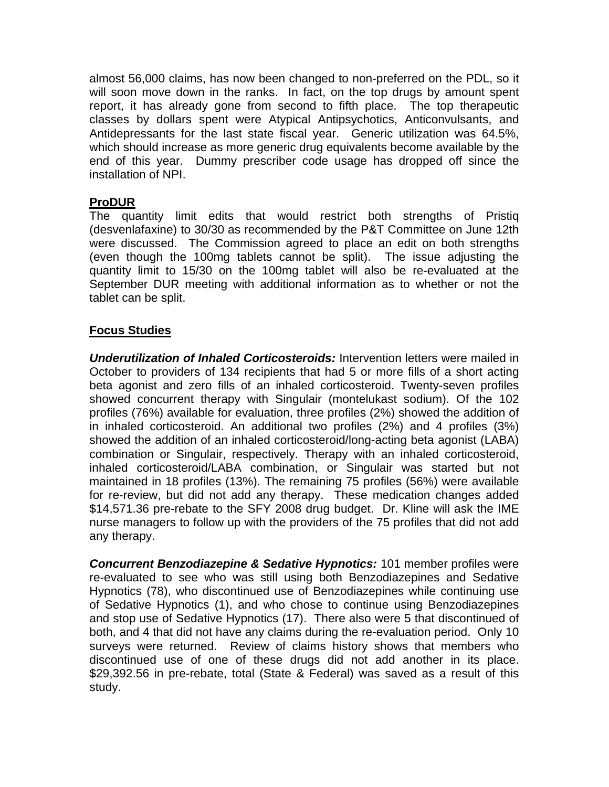almost 56,000 claims, has now been changed to non-preferred on the PDL, so it will soon move down in the ranks. In fact, on the top drugs by amount spent report, it has already gone from second to fifth place. The top therapeutic classes by dollars spent were Atypical Antipsychotics, Anticonvulsants, and Antidepressants for the last state fiscal year. Generic utilization was 64.5%, which should increase as more generic drug equivalents become available by the end of this year. Dummy prescriber code usage has dropped off since the installation of NPI.

# **ProDUR**

The quantity limit edits that would restrict both strengths of Pristiq (desvenlafaxine) to 30/30 as recommended by the P&T Committee on June 12th were discussed. The Commission agreed to place an edit on both strengths (even though the 100mg tablets cannot be split). The issue adjusting the quantity limit to 15/30 on the 100mg tablet will also be re-evaluated at the September DUR meeting with additional information as to whether or not the tablet can be split.

# **Focus Studies**

*Underutilization of Inhaled Corticosteroids:* Intervention letters were mailed in October to providers of 134 recipients that had 5 or more fills of a short acting beta agonist and zero fills of an inhaled corticosteroid. Twenty-seven profiles showed concurrent therapy with Singulair (montelukast sodium). Of the 102 profiles (76%) available for evaluation, three profiles (2%) showed the addition of in inhaled corticosteroid. An additional two profiles (2%) and 4 profiles (3%) showed the addition of an inhaled corticosteroid/long-acting beta agonist (LABA) combination or Singulair, respectively. Therapy with an inhaled corticosteroid, inhaled corticosteroid/LABA combination, or Singulair was started but not maintained in 18 profiles (13%). The remaining 75 profiles (56%) were available for re-review, but did not add any therapy. These medication changes added \$14,571.36 pre-rebate to the SFY 2008 drug budget. Dr. Kline will ask the IME nurse managers to follow up with the providers of the 75 profiles that did not add any therapy.

*Concurrent Benzodiazepine & Sedative Hypnotics:* 101 member profiles were re-evaluated to see who was still using both Benzodiazepines and Sedative Hypnotics (78), who discontinued use of Benzodiazepines while continuing use of Sedative Hypnotics (1), and who chose to continue using Benzodiazepines and stop use of Sedative Hypnotics (17). There also were 5 that discontinued of both, and 4 that did not have any claims during the re-evaluation period. Only 10 surveys were returned. Review of claims history shows that members who discontinued use of one of these drugs did not add another in its place. \$29,392.56 in pre-rebate, total (State & Federal) was saved as a result of this study.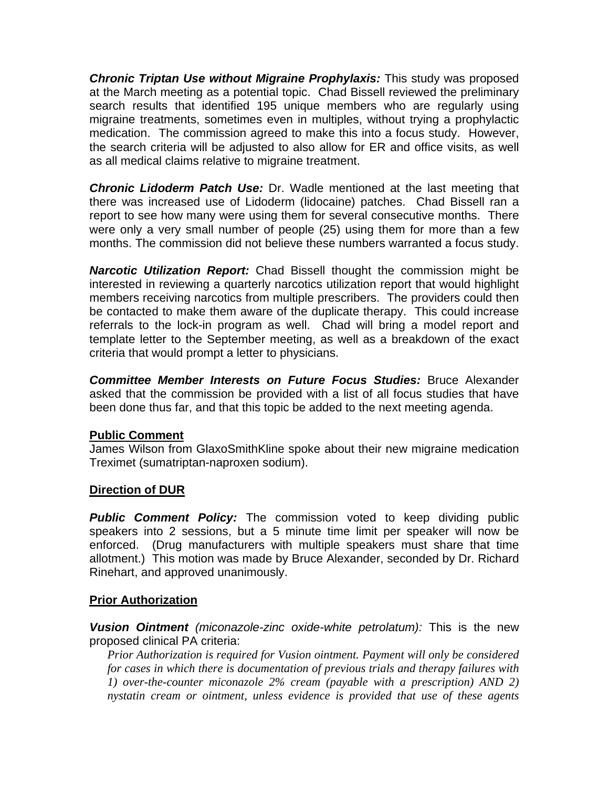*Chronic Triptan Use without Migraine Prophylaxis:* This study was proposed at the March meeting as a potential topic. Chad Bissell reviewed the preliminary search results that identified 195 unique members who are regularly using migraine treatments, sometimes even in multiples, without trying a prophylactic medication. The commission agreed to make this into a focus study. However, the search criteria will be adjusted to also allow for ER and office visits, as well as all medical claims relative to migraine treatment.

*Chronic Lidoderm Patch Use:* Dr. Wadle mentioned at the last meeting that there was increased use of Lidoderm (lidocaine) patches. Chad Bissell ran a report to see how many were using them for several consecutive months. There were only a very small number of people (25) using them for more than a few months. The commission did not believe these numbers warranted a focus study.

*Narcotic Utilization Report:* Chad Bissell thought the commission might be interested in reviewing a quarterly narcotics utilization report that would highlight members receiving narcotics from multiple prescribers. The providers could then be contacted to make them aware of the duplicate therapy. This could increase referrals to the lock-in program as well. Chad will bring a model report and template letter to the September meeting, as well as a breakdown of the exact criteria that would prompt a letter to physicians.

*Committee Member Interests on Future Focus Studies:* Bruce Alexander asked that the commission be provided with a list of all focus studies that have been done thus far, and that this topic be added to the next meeting agenda.

# **Public Comment**

James Wilson from GlaxoSmithKline spoke about their new migraine medication Treximet (sumatriptan-naproxen sodium).

# **Direction of DUR**

**Public Comment Policy:** The commission voted to keep dividing public speakers into 2 sessions, but a 5 minute time limit per speaker will now be enforced. (Drug manufacturers with multiple speakers must share that time allotment.) This motion was made by Bruce Alexander, seconded by Dr. Richard Rinehart, and approved unanimously.

# **Prior Authorization**

*Vusion Ointment (miconazole-zinc oxide-white petrolatum):* This is the new proposed clinical PA criteria:

*Prior Authorization is required for Vusion ointment. Payment will only be considered for cases in which there is documentation of previous trials and therapy failures with 1) over-the-counter miconazole 2% cream (payable with a prescription) AND 2) nystatin cream or ointment, unless evidence is provided that use of these agents*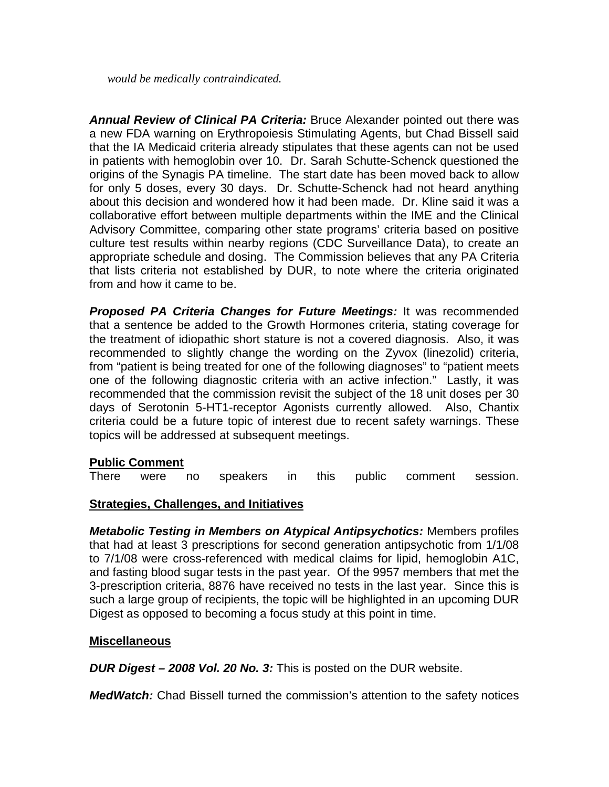*would be medically contraindicated.*

*Annual Review of Clinical PA Criteria:* Bruce Alexander pointed out there was a new FDA warning on Erythropoiesis Stimulating Agents, but Chad Bissell said that the IA Medicaid criteria already stipulates that these agents can not be used in patients with hemoglobin over 10. Dr. Sarah Schutte-Schenck questioned the origins of the Synagis PA timeline. The start date has been moved back to allow for only 5 doses, every 30 days. Dr. Schutte-Schenck had not heard anything about this decision and wondered how it had been made. Dr. Kline said it was a collaborative effort between multiple departments within the IME and the Clinical Advisory Committee, comparing other state programs' criteria based on positive culture test results within nearby regions (CDC Surveillance Data), to create an appropriate schedule and dosing. The Commission believes that any PA Criteria that lists criteria not established by DUR, to note where the criteria originated from and how it came to be.

**Proposed PA Criteria Changes for Future Meetings:** It was recommended that a sentence be added to the Growth Hormones criteria, stating coverage for the treatment of idiopathic short stature is not a covered diagnosis. Also, it was recommended to slightly change the wording on the Zyvox (linezolid) criteria, from "patient is being treated for one of the following diagnoses" to "patient meets one of the following diagnostic criteria with an active infection." Lastly, it was recommended that the commission revisit the subject of the 18 unit doses per 30 days of Serotonin 5-HT1-receptor Agonists currently allowed. Also, Chantix criteria could be a future topic of interest due to recent safety warnings. These topics will be addressed at subsequent meetings.

# **Public Comment**

There were no speakers in this public comment session.

# **Strategies, Challenges, and Initiatives**

*Metabolic Testing in Members on Atypical Antipsychotics:* Members profiles that had at least 3 prescriptions for second generation antipsychotic from 1/1/08 to 7/1/08 were cross-referenced with medical claims for lipid, hemoglobin A1C, and fasting blood sugar tests in the past year. Of the 9957 members that met the 3-prescription criteria, 8876 have received no tests in the last year. Since this is such a large group of recipients, the topic will be highlighted in an upcoming DUR Digest as opposed to becoming a focus study at this point in time.

# **Miscellaneous**

*DUR Digest – 2008 Vol. 20 No. 3:* This is posted on the DUR website.

*MedWatch:* Chad Bissell turned the commission's attention to the safety notices